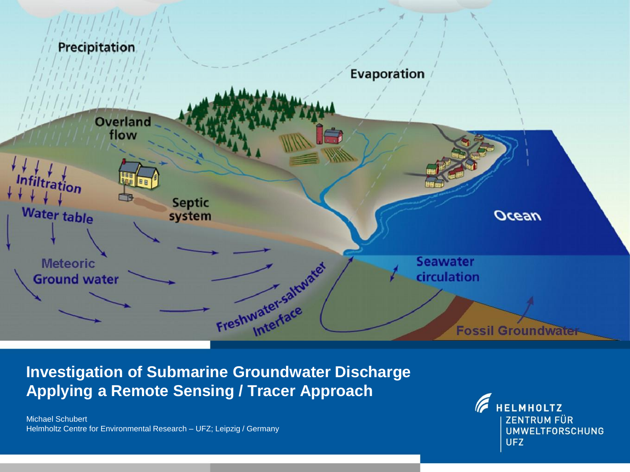

**Investigation of Submarine Groundwater Discharge Applying a Remote Sensing / Tracer Approach**

Michael Schubert Helmholtz Centre for Environmental Research – UFZ; Leipzig / Germany

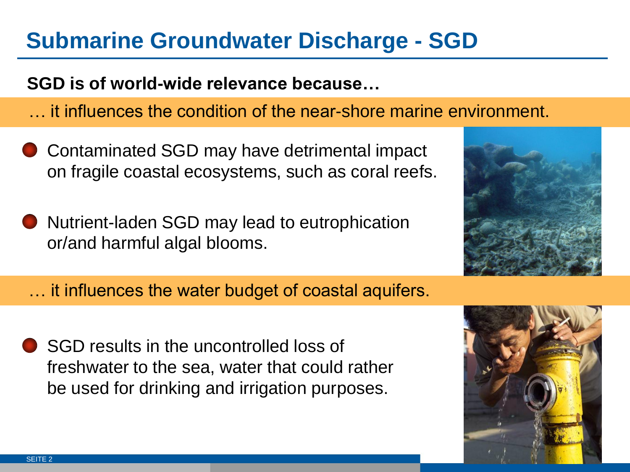# **Submarine Groundwater Discharge - SGD**

#### **SGD is of world-wide relevance because…**

- … it influences the condition of the near-shore marine environment.
- Contaminated SGD may have detrimental impact on fragile coastal ecosystems, such as coral reefs.
- Nutrient-laden SGD may lead to eutrophication or/and harmful algal blooms.
- … it influences the water budget of coastal aquifers.
- SGD results in the uncontrolled loss of freshwater to the sea, water that could rather be used for drinking and irrigation purposes.



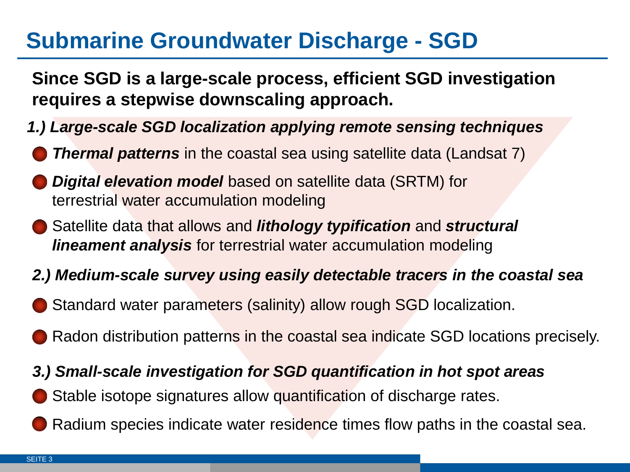# **Submarine Groundwater Discharge - SGD**

**Since SGD is a large-scale process, efficient SGD investigation requires a stepwise downscaling approach.**

- *1.) Large-scale SGD localization applying remote sensing techniques*
- *Thermal patterns* in the coastal sea using satellite data (Landsat 7)
- *Digital elevation model* based on satellite data (SRTM) for terrestrial water accumulation modeling
- Satellite data that allows and *lithology typification* and *structural lineament analysis* for terrestrial water accumulation modeling
- *2.) Medium-scale survey using easily detectable tracers in the coastal sea*
- Standard water parameters (salinity) allow rough SGD localization.
- Radon distribution patterns in the coastal sea indicate SGD locations precisely.

#### *3.) Small-scale investigation for SGD quantification in hot spot areas*

- Stable isotope signatures allow quantification of discharge rates.
- Radium species indicate water residence times flow paths in the coastal sea.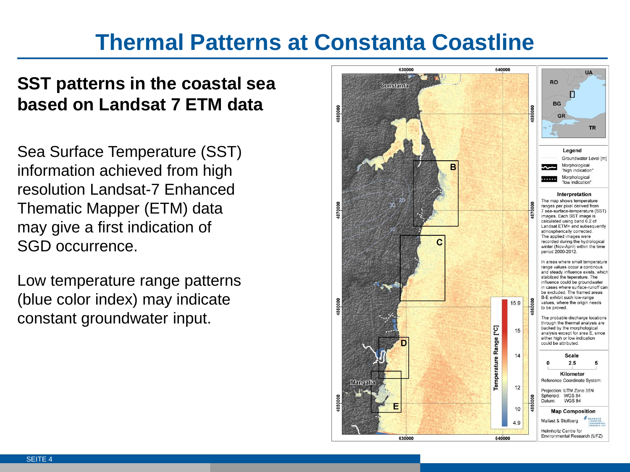# **Thermal Patterns at Constanta Coastline**

### **SST patterns in the coastal sea based on Landsat 7 ETM data**

Sea Surface Temperature (SST) information achieved from high resolution Landsat-7 Enhanced Thematic Mapper (ETM) data may give a first indication of SGD occurrence.

Low temperature range patterns (blue color index) may indicate constant groundwater input.

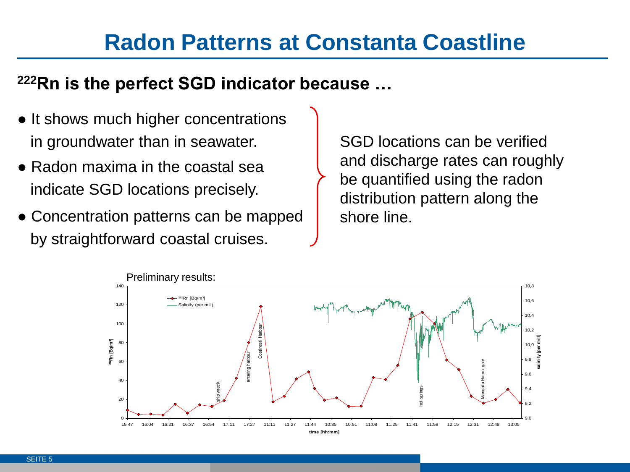### **Radon Patterns at Constanta Coastline**

#### **<sup>222</sup>Rn is the perfect SGD indicator because …**

- It shows much higher concentrations in groundwater than in seawater.
- Radon maxima in the coastal sea indicate SGD locations precisely.
- Concentration patterns can be mapped by straightforward coastal cruises.

SGD locations can be verified and discharge rates can roughly be quantified using the radon distribution pattern along the shore line.

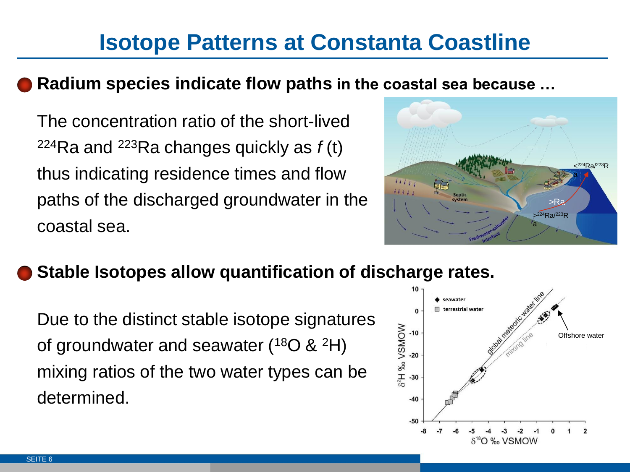# **Isotope Patterns at Constanta Coastline**

#### **Radium species indicate flow paths in the coastal sea because …**

The concentration ratio of the short-lived <sup>224</sup>Ra and <sup>223</sup>Ra changes quickly as *f* (t) thus indicating residence times and flow paths of the discharged groundwater in the coastal sea.



### **Stable Isotopes allow quantification of discharge rates.**

Due to the distinct stable isotope signatures of groundwater and seawater  $(^{18}O \& ^{2}H)$ mixing ratios of the two water types can be determined.